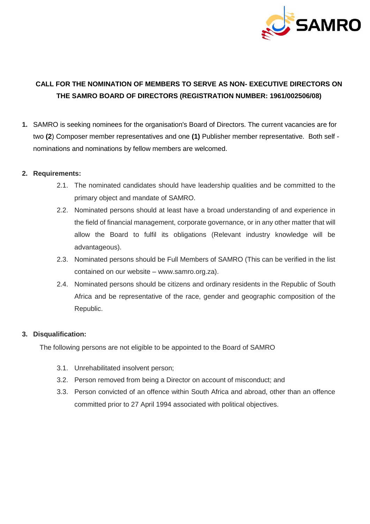

# **CALL FOR THE NOMINATION OF MEMBERS TO SERVE AS NON- EXECUTIVE DIRECTORS ON THE SAMRO BOARD OF DIRECTORS (REGISTRATION NUMBER: 1961/002506/08)**

**1.** SAMRO is seeking nominees for the organisation's Board of Directors. The current vacancies are for two **(2**) Composer member representatives and one **(1)** Publisher member representative. Both self nominations and nominations by fellow members are welcomed.

#### **2. Requirements:**

- 2.1. The nominated candidates should have leadership qualities and be committed to the primary object and mandate of SAMRO.
- 2.2. Nominated persons should at least have a broad understanding of and experience in the field of financial management, corporate governance, or in any other matter that will allow the Board to fulfil its obligations (Relevant industry knowledge will be advantageous).
- 2.3. Nominated persons should be Full Members of SAMRO (This can be verified in the list contained on our website – www.samro.org.za).
- 2.4. Nominated persons should be citizens and ordinary residents in the Republic of South Africa and be representative of the race, gender and geographic composition of the Republic.

## **3. Disqualification:**

The following persons are not eligible to be appointed to the Board of SAMRO

- 3.1. Unrehabilitated insolvent person;
- 3.2. Person removed from being a Director on account of misconduct; and
- 3.3. Person convicted of an offence within South Africa and abroad, other than an offence committed prior to 27 April 1994 associated with political objectives.